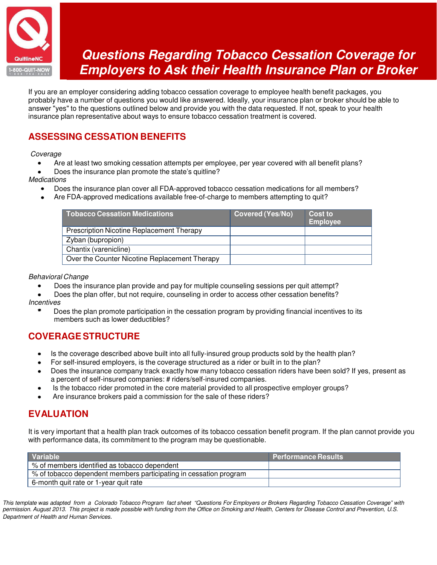

# **Questions Regarding Tobacco Cessation Coverage for Employers to Ask their Health Insurance Plan or Broker**

If you are an employer considering adding tobacco cessation coverage to employee health benefit packages, you probably have a number of questions you would like answered. Ideally, your insurance plan or broker should be able to answer "yes" to the questions outlined below and provide you with the data requested. If not, speak to your health insurance plan representative about ways to ensure tobacco cessation treatment is covered.

# **ASSESSING CESSATION BENEFITS**

Coverage

- Are at least two smoking cessation attempts per employee, per year covered with all benefit plans?  $\bullet$
- Does the insurance plan promote the state's quitline?

#### **Medications**

- Does the insurance plan cover all FDA-approved tobacco cessation medications for all members?
- Are FDA-approved medications available free-of-charge to members attempting to quit?

| <b>Tobacco Cessation Medications</b>             | <b>Covered (Yes/No)</b> | <b>Cost to</b><br><b>Employee</b> |
|--------------------------------------------------|-------------------------|-----------------------------------|
| <b>Prescription Nicotine Replacement Therapy</b> |                         |                                   |
| Zyban (bupropion)                                |                         |                                   |
| Chantix (varenicline)                            |                         |                                   |
| Over the Counter Nicotine Replacement Therapy    |                         |                                   |

#### Behavioral Change

- Does the insurance plan provide and pay for multiple counseling sessions per quit attempt?
- Does the plan offer, but not require, counseling in order to access other cessation benefits?  $\bullet$ **Incentives** 
	- Does the plan promote participation in the cessation program by providing financial incentives to its members such as lower deductibles?

## **COVERAGE STRUCTURE**

- Is the coverage described above built into all fully-insured group products sold by the health plan?  $\bullet$
- For self-insured employers, is the coverage structured as a rider or built in to the plan?
- Does the insurance company track exactly how many tobacco cessation riders have been sold? If yes, present as a percent of self-insured companies: # riders/self-insured companies.
- Is the tobacco rider promoted in the core material provided to all prospective employer groups?
- Are insurance brokers paid a commission for the sale of these riders?

### **EVALUATION**

It is very important that a health plan track outcomes of its tobacco cessation benefit program. If the plan cannot provide you with performance data, its commitment to the program may be questionable.

| <b>Variable</b>                                                   | <b>Performance Results</b> |
|-------------------------------------------------------------------|----------------------------|
| % of members identified as tobacco dependent                      |                            |
| % of tobacco dependent members participating in cessation program |                            |
| 6-month quit rate or 1-year quit rate                             |                            |

This template was adapted from a Colorado Tobacco Program fact sheet "Questions For Employers or Brokers Regarding Tobacco Cessation Coverage" with permission. August 2013. This project is made possible with funding from the Office on Smoking and Health, Centers for Disease Control and Prevention, U.S. Department of Health and Human Services.